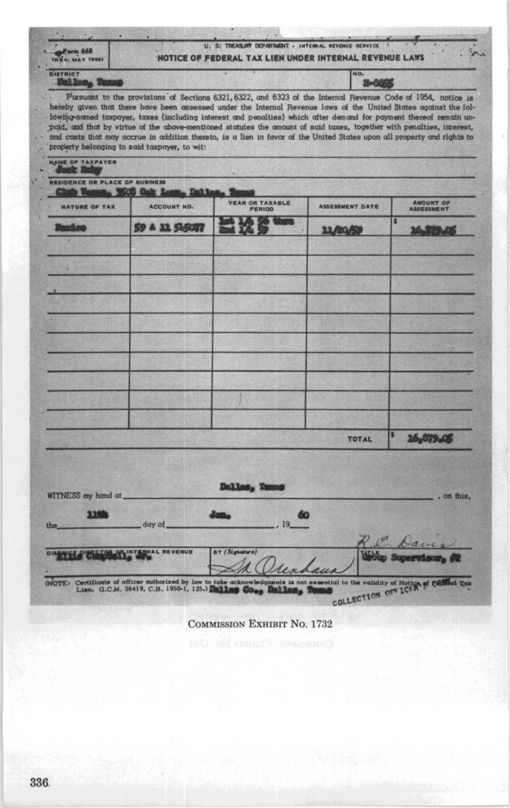| Form 668<br><b>INKY, MAY TOBS)</b> | U. S: TREASURY DEPARTMENT - INTERNAL REVENUE SERVICE<br>NOTICE OF FEDERAL TAX LIEN UNDER INTERNAL REVENUE LAWS |                                                                                                                                                                                                                                                 |                        |                                        |  |
|------------------------------------|----------------------------------------------------------------------------------------------------------------|-------------------------------------------------------------------------------------------------------------------------------------------------------------------------------------------------------------------------------------------------|------------------------|----------------------------------------|--|
| <b>DISTRICT</b>                    |                                                                                                                |                                                                                                                                                                                                                                                 | NO.                    |                                        |  |
|                                    | property belonging to said taxpayer, to wit:                                                                   | paid, and that by virtue of the above-mentioned statutes the amount of said taxes, together with penalties, interest,<br>and costs that may accrue in addition thereto, is a lien in favor of the United States upon all property and rights to |                        |                                        |  |
| NAME OF TAXPAYER                   |                                                                                                                |                                                                                                                                                                                                                                                 |                        |                                        |  |
|                                    | <b><i>BESIDENCE OR PLACE OF BUSINESS</i></b>                                                                   |                                                                                                                                                                                                                                                 |                        |                                        |  |
|                                    |                                                                                                                |                                                                                                                                                                                                                                                 |                        |                                        |  |
| <b>NATURE OF TAX</b>               | <b>ACCOUNT NO.</b>                                                                                             | <b><i>YEAR OR TAXABLE</i></b><br>PERIOD                                                                                                                                                                                                         | <b>ASSESSMENT DATE</b> | <b>AMOUNT OF</b><br><b>ASSIEREMENT</b> |  |

Dallas, Ter

**BY** (Signature)

**COMMISSION EXHIBIT NO. 1732** 

60  $19$ 

 $\overline{\mathbf{s}}$ 

TOTAL

P

COLLECTION OF ICER & CO

16,879.45

, on this,

d Tax

| 336 |  |  |
|-----|--|--|

WITNESS my hand at

the,

3,193

**DISENEE DI MISSION ON INTERNAL REVENUE** 

(NOTE: Certificate of officer suthorized by law the Lien. G.C.M. 26419, C.B. 1950-1, 125.)

day of\_